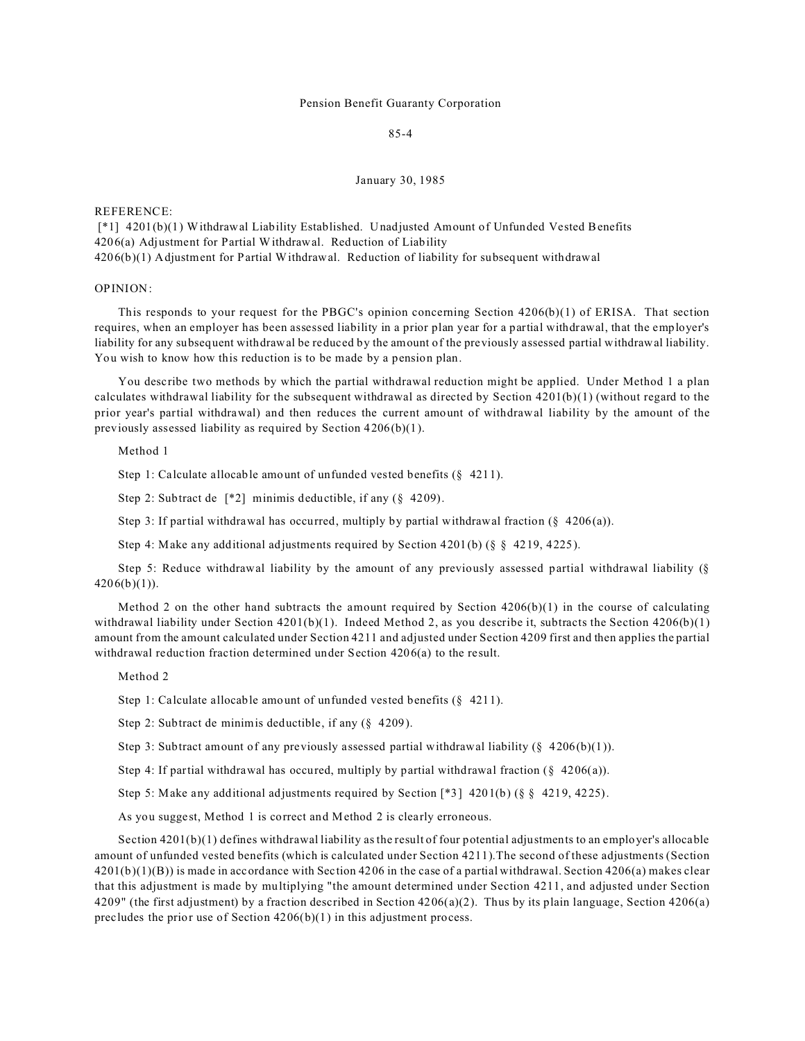## Pension Benefit Guaranty Corporation

85-4

## January 30, 1985

REFERENCE:

 [\*1] 4201(b)(1) Withdrawal Liability Established. Unadjusted Amount of Unfunded Vested Benefits 4206(a) Adjustment for Partial Withdrawal. Reduction of Liability 4206(b)(1) Adjustment for Partial Withdrawal. Reduction of liability for subsequent withdrawal

# OPINION:

This responds to your request for the PBGC's opinion concerning Section 4206(b)(1) of ERISA. That section requires, when an employer has been assessed liability in a prior plan year for a partial withdrawal, that the employer's liability for any subsequent withdrawal be reduced by the amount of the previously assessed partial withdrawal liability. You wish to know how this reduction is to be made by a pension plan.

You describe two methods by which the partial withdrawal reduction might be applied. Under Method 1 a plan calculates withdrawal liability for the subsequent withdrawal as directed by Section 4201(b)(1) (without regard to the prior year's partial withdrawal) and then reduces the current amount of withdrawal liability by the amount of the previously assessed liability as required by Section 4206(b)(1).

## Method 1

Step 1: Calculate allocable amount of unfunded vested benefits (§ 4211).

Step 2: Subtract de [\*2] minimis deductible, if any (§ 4209).

Step 3: If partial withdrawal has occurred, multiply by partial withdrawal fraction  $(\S$  4206(a)).

Step 4: Make any additional adjustments required by Section 4201(b) (§ § 4219, 4225).

Step 5: Reduce withdrawal liability by the amount of any previously assessed partial withdrawal liability (§  $4206(b)(1)$ ).

Method 2 on the other hand subtracts the amount required by Section  $4206(b)(1)$  in the course of calculating withdrawal liability under Section 4201(b)(1). Indeed Method 2, as you describe it, subtracts the Section 4206(b)(1) amount from the amount calculated under Section 4211 and adjusted under Section 4209 first and then applies the partial withdrawal reduction fraction determined under Section 4206(a) to the result.

#### Method 2

Step 1: Calculate allocable amount of unfunded vested benefits (§ 4211).

Step 2: Subtract de minimis deductible, if any (§ 4209).

Step 3: Subtract amount of any previously assessed partial withdrawal liability  $(8\ 4206(b)(1))$ .

Step 4: If partial withdrawal has occured, multiply by partial withdrawal fraction  $(\S$  4206(a)).

Step 5: Make any additional adjustments required by Section [\*3] 4201(b) (§ § 4219, 4225).

As you suggest, Method 1 is correct and Method 2 is clearly erroneous.

Section 4201(b)(1) defines withdrawal liability as the result of four potential adjustments to an employer's allocable amount of unfunded vested benefits (which is calculated under Section 4211).The second of these adjustments (Section 4201(b)(1)(B)) is made in accordance with Section 4206 in the case of a partial withdrawal. Section 4206(a) makes clear that this adjustment is made by multiplying "the amount determined under Section 4211, and adjusted under Section 4209" (the first adjustment) by a fraction described in Section  $4206(a)(2)$ . Thus by its plain language, Section 4206(a) precludes the prior use of Section  $4206(b)(1)$  in this adjustment process.